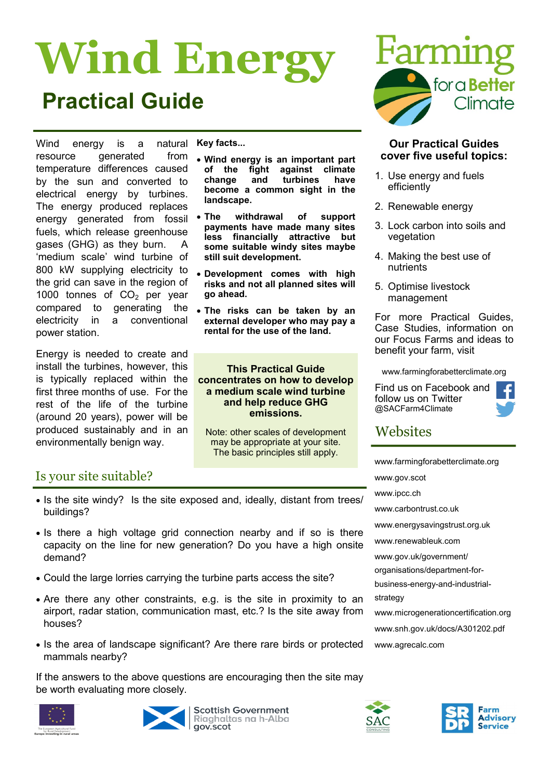# **Wind Energy Practical Guide**

Wind energy is a natural resource generated from temperature differences caused by the sun and converted to electrical energy by turbines. The energy produced replaces energy generated from fossil fuels, which release greenhouse gases (GHG) as they burn. A 'medium scale' wind turbine of 800 kW supplying electricity to the grid can save in the region of 1000 tonnes of  $CO<sub>2</sub>$  per year compared to generating the electricity in a conventional power station.

Energy is needed to create and install the turbines, however, this is typically replaced within the first three months of use. For the rest of the life of the turbine (around 20 years), power will be produced sustainably and in an environmentally benign way.

**Key facts...**

- **Wind energy is an important part of the fight against climate change and turbines have become a common sight in the landscape.**
- **The withdrawal of support payments have made many sites less financially attractive but some suitable windy sites maybe still suit development.**
- **Development comes with high risks and not all planned sites will go ahead.**
- **The risks can be taken by an external developer who may pay a rental for the use of the land.**

**This Practical Guide concentrates on how to develop a medium scale wind turbine and help reduce GHG emissions.**

Note: other scales of development may be appropriate at your site. The basic principles still apply.

# Is your site suitable?

- Is the site windy? Is the site exposed and, ideally, distant from trees/ buildings?
- Is there a high voltage grid connection nearby and if so is there capacity on the line for new generation? Do you have a high onsite demand?
- Could the large lorries carrying the turbine parts access the site?
- Are there any other constraints, e.g. is the site in proximity to an airport, radar station, communication mast, etc.? Is the site away from houses?
- Is the area of landscape significant? Are there rare birds or protected mammals nearby?

If the answers to the above questions are encouraging then the site may be worth evaluating more closely.





**Scottish Government** Riaghaltas na h-Alba gov.scot



### **Our Practical Guides cover five useful topics:**

- 1. Use energy and fuels efficiently
- 2. Renewable energy
- 3. Lock carbon into soils and vegetation
- 4. Making the best use of nutrients
- 5. Optimise livestock management

For more Practical Guides, Case Studies, information on our Focus Farms and ideas to benefit your farm, visit

www.farmingforabetterclimate.org

Find us on Facebook and follow us on Twitter @SACFarm4Climate



# **Websites**

[www.farmingforabetterclimate.org](http://www.farmingforabetterclimate.org)

[www.gov.scot](http://www.scotland.gov.uk/Topics/Business-Industry/Energy/Energy-sources/19185/17852-1)

[www.ipcc.ch](http://www.ipcc.ch)

[www.carbontrust.co.uk](http://www.carbontrust.co.uk)

[www.energysavingstrust.org.uk](http://www.energysavingtrust.org.uk/scotland/Generate-your-own-energy/Wind-turbines?gclid=CN23iLjNy7ACFdKBfAod7HHPYA)

[www.renewableuk.com](http://www.bwea.com/)

www.gov.uk/government/

organisations/department-for-

business-energy-and-industrialstrategy

[www.microgenerationcertification.org](http://www.microgenerationcertification.org) [www.snh.gov.uk/docs/A301202.pdf](http://www.snh.gov.uk/docs/A301202.pdf) [www.agrecalc.com](http://www.agrecalc.com)